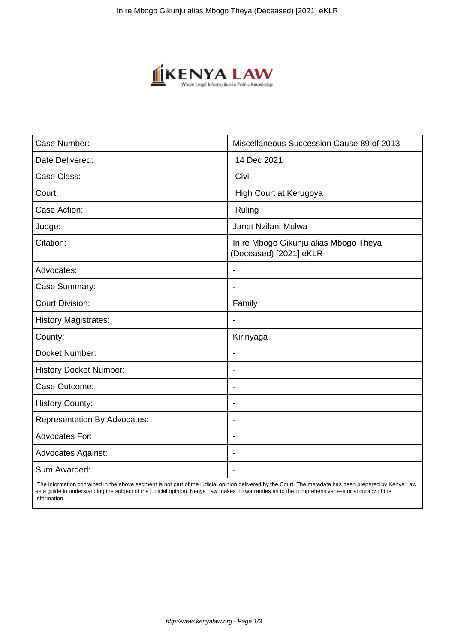

| Case Number:                        | Miscellaneous Succession Cause 89 of 2013                       |
|-------------------------------------|-----------------------------------------------------------------|
| Date Delivered:                     | 14 Dec 2021                                                     |
| Case Class:                         | Civil                                                           |
| Court:                              | High Court at Kerugoya                                          |
| Case Action:                        | Ruling                                                          |
| Judge:                              | Janet Nzilani Mulwa                                             |
| Citation:                           | In re Mbogo Gikunju alias Mbogo Theya<br>(Deceased) [2021] eKLR |
| Advocates:                          |                                                                 |
| Case Summary:                       | $\blacksquare$                                                  |
| <b>Court Division:</b>              | Family                                                          |
| <b>History Magistrates:</b>         | $\blacksquare$                                                  |
| County:                             | Kirinyaga                                                       |
| Docket Number:                      |                                                                 |
| <b>History Docket Number:</b>       | $\overline{\phantom{a}}$                                        |
| Case Outcome:                       | $\overline{\phantom{0}}$                                        |
| <b>History County:</b>              | $\overline{\phantom{a}}$                                        |
| <b>Representation By Advocates:</b> | $\overline{\phantom{0}}$                                        |
| Advocates For:                      | $\overline{\phantom{a}}$                                        |
| <b>Advocates Against:</b>           | $\overline{\phantom{0}}$                                        |
| Sum Awarded:                        |                                                                 |

 The information contained in the above segment is not part of the judicial opinion delivered by the Court. The metadata has been prepared by Kenya Law as a guide in understanding the subject of the judicial opinion. Kenya Law makes no warranties as to the comprehensiveness or accuracy of the information.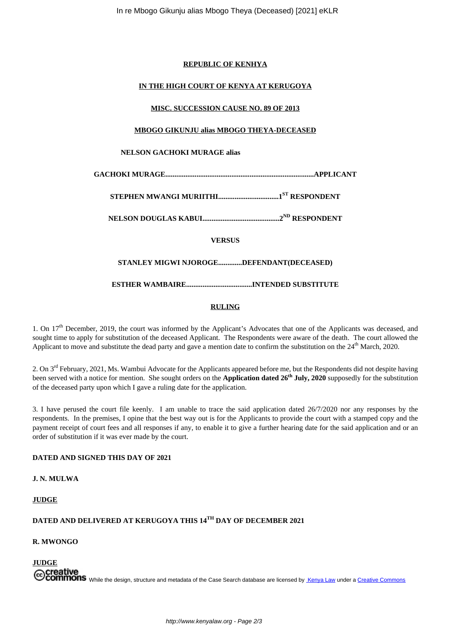#### **REPUBLIC OF KENHYA**

## **IN THE HIGH COURT OF KENYA AT KERUGOYA**

#### **MISC. SUCCESSION CAUSE NO. 89 OF 2013**

## **MBOGO GIKUNJU alias MBOGO THEYA-DECEASED**

#### **NELSON GACHOKI MURAGE alias**

**GACHOKI MURAGE.................................................................................APPLICANT**

**STEPHEN MWANGI MURIITHI.................................1ST RESPONDENT**

**NELSON DOUGLAS KABUI..........................................2ND RESPONDENT**

**VERSUS**

# **STANLEY MIGWI NJOROGE.............DEFENDANT(DECEASED)**

**ESTHER WAMBAIRE....................................INTENDED SUBSTITUTE**

## **RULING**

1. On 17<sup>th</sup> December, 2019, the court was informed by the Applicant's Advocates that one of the Applicants was deceased, and sought time to apply for substitution of the deceased Applicant. The Respondents were aware of the death. The court allowed the Applicant to move and substitute the dead party and gave a mention date to confirm the substitution on the  $24<sup>th</sup>$  March, 2020.

2. On 3<sup>rd</sup> February, 2021, Ms. Wambui Advocate for the Applicants appeared before me, but the Respondents did not despite having been served with a notice for mention. She sought orders on the **Application dated 26th July, 2020** supposedly for the substitution of the deceased party upon which I gave a ruling date for the application.

3. I have perused the court file keenly. I am unable to trace the said application dated 26/7/2020 nor any responses by the respondents. In the premises, I opine that the best way out is for the Applicants to provide the court with a stamped copy and the payment receipt of court fees and all responses if any, to enable it to give a further hearing date for the said application and or an order of substitution if it was ever made by the court.

# **DATED AND SIGNED THIS DAY OF 2021**

**J. N. MULWA**

# **JUDGE**

# **DATED AND DELIVERED AT KERUGOYA THIS 14TH DAY OF DECEMBER 2021**

#### **R. MWONGO**

**JUDGE** Creative<br>Commons While the design, structure and metadata of the Case Search database are licensed by Kenya Law under a Creative Commons